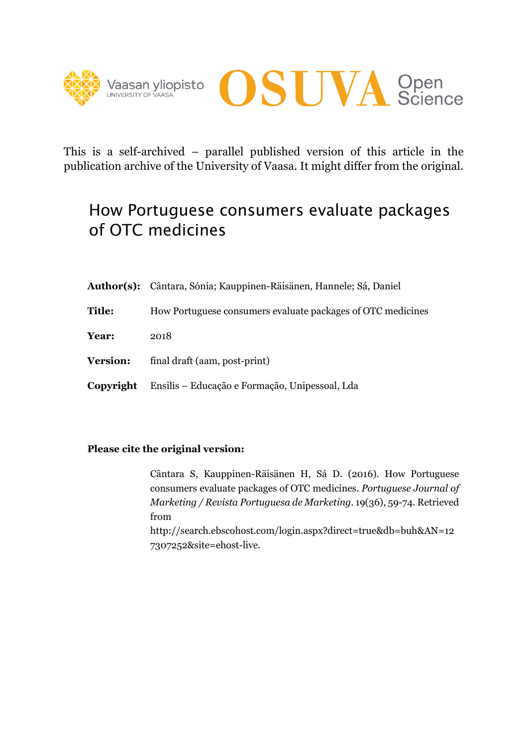



This is a self-archived – parallel published version of this article in the publication archive of the University of Vaasa. It might differ from the original.

## How Portuguese consumers evaluate packages of OTC medicines

|                 | Author(s): Cântara, Sónia; Kauppinen-Räisänen, Hannele; Sá, Daniel |  |  |  |
|-----------------|--------------------------------------------------------------------|--|--|--|
| <b>Title:</b>   | How Portuguese consumers evaluate packages of OTC medicines        |  |  |  |
| Year:           | 2018                                                               |  |  |  |
| <b>Version:</b> | final draft (aam, post-print)                                      |  |  |  |
| Copyright       | Ensilis – Educação e Formação, Unipessoal, Lda                     |  |  |  |

## **Please cite the original version:**

 Cântara S, Kauppinen-Räisänen H, Sá D. (2016). How Portuguese consumers evaluate packages of OTC medicines. *Portuguese Journal of Marketing / Revista Portuguesa de Marketing.* 19(36), 59-74. Retrieved from http://search.ebscohost.com/login.aspx?direct=true&db=buh&AN=12 7307252&site=ehost-live.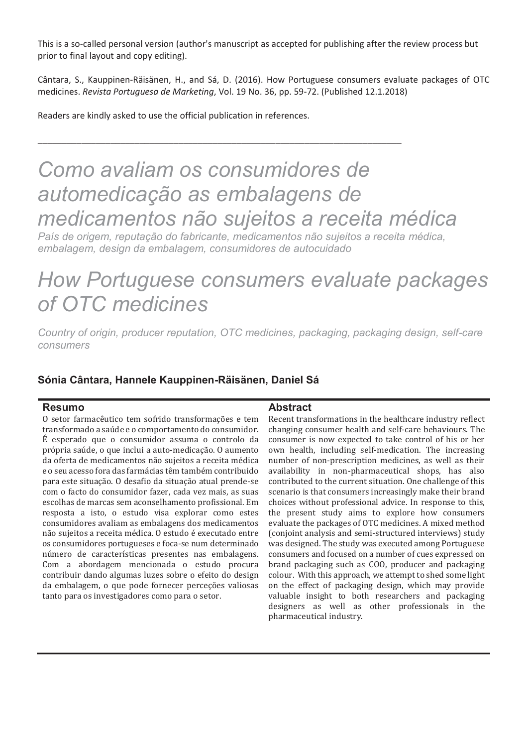This is a so-called personal version (author's manuscript as accepted for publishing after the review process but prior to final layout and copy editing).

Cântara, S., Kauppinen-Räisänen, H., and Sá, D. (2016). How Portuguese consumers evaluate packages of OTC medicines. Revista Portuguesa de Marketing, Vol. 19 No. 36, pp. 59-72. (Published 12.1.2018)

Readers are kindly asked to use the official publication in references.

# Como avaliam os consumidores de automedicação as embalagens de medicamentos não sujeitos a receita médica

País de origem, reputação do fabricante, medicamentos não sujeitos a receita médica. embalagem, design da embalagem, consumidores de autocuidado

## How Portuguese consumers evaluate packages of OTC medicines

Country of origin, producer reputation, OTC medicines, packaging, packaging design, self-care consumers

## Sónia Cântara, Hannele Kauppinen-Räisänen, Daniel Sá

#### **Resumo**

O setor farmacêutico tem sofrido transformações e tem transformado a saúde e o comportamento do consumidor. É esperado que o consumidor assuma o controlo da própria saúde, o que inclui a auto-medicação. O aumento da oferta de medicamentos não sujeitos a receita médica e o seu acesso fora das farmácias têm também contribuido para este situação. O desafio da situação atual prende-se com o facto do consumidor fazer, cada vez mais, as suas escolhas de marcas sem aconselhamento profissional. Em resposta a isto, o estudo visa explorar como estes consumidores avaliam as embalagens dos medicamentos não sujeitos a receita médica. O estudo é executado entre os consumidores portugueses e foca-se num determinado número de características presentes nas embalagens. Com a abordagem mencionada o estudo procura contribuir dando algumas luzes sobre o efeito do design da embalagem, o que pode fornecer perceções valiosas tanto para os investigadores como para o setor.

#### **Abstract**

Recent transformations in the healthcare industry reflect changing consumer health and self-care behaviours. The consumer is now expected to take control of his or her own health, including self-medication. The increasing number of non-prescription medicines, as well as their availability in non-pharmaceutical shops, has also contributed to the current situation. One challenge of this scenario is that consumers increasingly make their brand choices without professional advice. In response to this, the present study aims to explore how consumers evaluate the packages of OTC medicines. A mixed method (conjoint analysis and semi-structured interviews) study was designed. The study was executed among Portuguese consumers and focused on a number of cues expressed on brand packaging such as COO, producer and packaging colour. With this approach, we attempt to shed some light on the effect of packaging design, which may provide valuable insight to both researchers and packaging designers as well as other professionals in the pharmaceutical industry.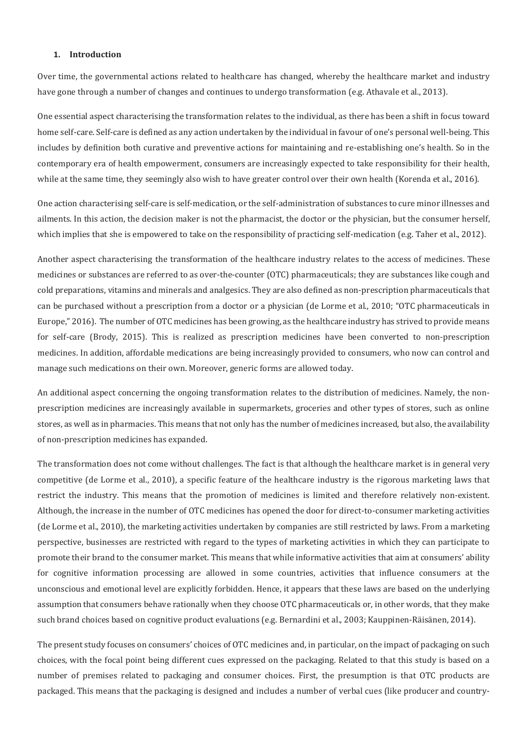#### **1. Introduction**

Over time, the governmental actions related to healthcare has changed, whereby the healthcare market and industry have gone through a number of changes and continues to undergo transformation (e.g. Athavale et al., 2013).

One essential aspect characterising the transformation relates to the individual, as there has been a shift in focus toward home self-care. Self-care is defined as any action undertaken by the individual in favour of one's personal well-being. This includes by definition both curative and preventive actions for maintaining and re-establishing one's health. So in the contemporary era of health empowerment, consumers are increasingly expected to take responsibility for their health, while at the same time, they seemingly also wish to have greater control over their own health (Korenda et al., 2016).

One action characterising self-care is self-medication, or the self-administration of substances to cure minor illnesses and ailments. In this action, the decision maker is not the pharmacist, the doctor or the physician, but the consumer herself, which implies that she is empowered to take on the responsibility of practicing self-medication (e.g. Taher et al., 2012).

Another aspect characterising the transformation of the healthcare industry relates to the access of medicines. These medicines or substances are referred to as over-the-counter (OTC) pharmaceuticals; they are substances like cough and cold preparations, vitamins and minerals and analgesics. They are also defined as non-prescription pharmaceuticals that can be purchased without a prescription from a doctor or a physician (de Lorme et al., 2010; "OTC pharmaceuticals in Europe," 2016). The number of OTC medicines has been growing, as the healthcare industry has strived to provide means for self-care (Brody, 2015). This is realized as prescription medicines have been converted to non-prescription medicines. In addition, affordable medications are being increasingly provided to consumers, who now can control and manage such medications on their own. Moreover, generic forms are allowed today.

An additional aspect concerning the ongoing transformation relates to the distribution of medicines. Namely, the nonprescription medicines are increasingly available in supermarkets, groceries and other types of stores, such as online stores, as well as in pharmacies. This means that not only has the number of medicines increased, but also, the availability of non-prescription medicines has expanded.

The transformation does not come without challenges. The fact is that although the healthcare market is in general very competitive (de Lorme et al., 2010), a specific feature of the healthcare industry is the rigorous marketing laws that restrict the industry. This means that the promotion of medicines is limited and therefore relatively non-existent. Although, the increase in the number of OTC medicines has opened the door for direct-to-consumer marketing activities (de Lorme et al., 2010), the marketing activities undertaken by companies are still restricted by laws. From a marketing perspective, businesses are restricted with regard to the types of marketing activities in which they can participate to promote their brand to the consumer market. This means that while informative activities that aim at consumers' ability for cognitive information processing are allowed in some countries, activities that influence consumers at the unconscious and emotional level are explicitly forbidden. Hence, it appears that these laws are based on the underlying assumption that consumers behave rationally when they choose OTC pharmaceuticals or, in other words, that they make such brand choices based on cognitive product evaluations (e.g. Bernardini et al., 2003; Kauppinen-Räisänen, 2014).

The present study focuses on consumers' choices of OTC medicines and, in particular, on the impact of packaging on such choices, with the focal point being different cues expressed on the packaging. Related to that this study is based on a number of premises related to packaging and consumer choices. First, the presumption is that OTC products are packaged. This means that the packaging is designed and includes a number of verbal cues (like producer and country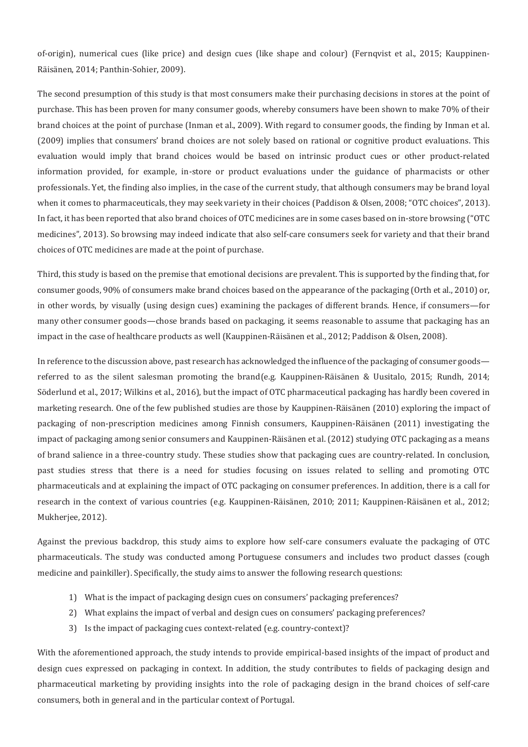of-origin), numerical cues (like price) and design cues (like shape and colour) (Fernqvist et al., 2015; Kauppinen-Räisänen, 2014; Panthin-Sohier, 2009).

The second presumption of this study is that most consumers make their purchasing decisions in stores at the point of purchase. This has been proven for many consumer goods, whereby consumers have been shown to make 70% of their brand choices at the point of purchase (Inman et al., 2009). With regard to consumer goods, the finding by Inman et al. (2009) implies that consumers' brand choices are not solely based on rational or cognitive product evaluations. This evaluation would imply that brand choices would be based on intrinsic product cues or other product-related information provided, for example, in-store or product evaluations under the guidance of pharmacists or other professionals. Yet, the finding also implies, in the case of the current study, that although consumers may be brand loyal when it comes to pharmaceuticals, they may seek variety in their choices (Paddison & Olsen, 2008; "OTC choices", 2013). In fact, it has been reported that also brand choices of OTC medicines are in some cases based on in-store browsing ("OTC medicines", 2013). So browsing may indeed indicate that also self-care consumers seek for variety and that their brand choices of OTC medicines are made at the point of purchase.

Third, this study is based on the premise that emotional decisions are prevalent. This is supported by the finding that, for consumer goods, 90% of consumers make brand choices based on the appearance of the packaging (Orth et al., 2010) or, in other words, by visually (using design cues) examining the packages of different brands. Hence, if consumers—for many other consumer goods—chose brands based on packaging, it seems reasonable to assume that packaging has an impact in the case of healthcare products as well (Kauppinen-Räisänen et al., 2012; Paddison & Olsen, 2008).

In reference to the discussion above, past research has acknowledged the influence of the packaging of consumer goods referred to as the silent salesman promoting the brand(e.g. Kauppinen-Räisänen & Uusitalo, 2015; Rundh, 2014; Söderlund et al., 2017; Wilkins et al., 2016), but the impact of OTC pharmaceutical packaging has hardly been covered in marketing research. One of the few published studies are those by Kauppinen-Räisänen (2010) exploring the impact of packaging of non-prescription medicines among Finnish consumers, Kauppinen-Räisänen (2011) investigating the impact of packaging among senior consumers and Kauppinen-Räisänen et al. (2012) studying OTC packaging as a means of brand salience in a three-country study. These studies show that packaging cues are country-related. In conclusion, past studies stress that there is a need for studies focusing on issues related to selling and promoting OTC pharmaceuticals and at explaining the impact of OTC packaging on consumer preferences. In addition, there is a call for research in the context of various countries (e.g. Kauppinen-Räisänen, 2010; 2011; Kauppinen-Räisänen et al., 2012; Mukherjee, 2012).

Against the previous backdrop, this study aims to explore how self-care consumers evaluate the packaging of OTC pharmaceuticals. The study was conducted among Portuguese consumers and includes two product classes (cough medicine and painkiller). Specifically, the study aims to answer the following research questions:

- 1) What is the impact of packaging design cues on consumers' packaging preferences?
- 2) What explains the impact of verbal and design cues on consumers' packaging preferences?
- 3) Is the impact of packaging cues context-related (e.g. country-context)?

With the aforementioned approach, the study intends to provide empirical-based insights of the impact of product and design cues expressed on packaging in context. In addition, the study contributes to fields of packaging design and pharmaceutical marketing by providing insights into the role of packaging design in the brand choices of self-care consumers, both in general and in the particular context of Portugal.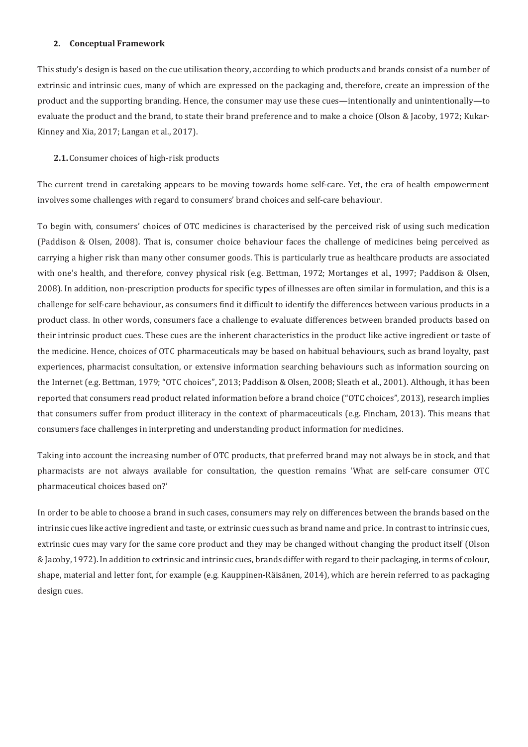#### **2. Conceptual Framework**

This study's design is based on the cue utilisation theory, according to which products and brands consist of a number of extrinsic and intrinsic cues, many of which are expressed on the packaging and, therefore, create an impression of the product and the supporting branding. Hence, the consumer may use these cues—intentionally and unintentionally—to evaluate the product and the brand, to state their brand preference and to make a choice (Olson & Jacoby, 1972; Kukar-Kinney and Xia, 2017; Langan et al., 2017).

#### 2.1. Consumer choices of high-risk products

The current trend in caretaking appears to be moving towards home self-care. Yet, the era of health empowerment involves some challenges with regard to consumers' brand choices and self-care behaviour.

To begin with, consumers' choices of OTC medicines is characterised by the perceived risk of using such medication (Paddison & Olsen, 2008). That is, consumer choice behaviour faces the challenge of medicines being perceived as carrying a higher risk than many other consumer goods. This is particularly true as healthcare products are associated with one's health, and therefore, convey physical risk (e.g. Bettman, 1972; Mortanges et al., 1997; Paddison & Olsen, 2008). In addition, non-prescription products for specific types of illnesses are often similar in formulation, and this is a challenge for self-care behaviour, as consumers find it difficult to identify the differences between various products in a product class. In other words, consumers face a challenge to evaluate differences between branded products based on their intrinsic product cues. These cues are the inherent characteristics in the product like active ingredient or taste of the medicine. Hence, choices of OTC pharmaceuticals may be based on habitual behaviours, such as brand loyalty, past experiences, pharmacist consultation, or extensive information searching behaviours such as information sourcing on the Internet (e.g. Bettman, 1979; "OTC choices", 2013; Paddison & Olsen, 2008; Sleath et al., 2001). Although, it has been reported that consumers read product related information before a brand choice ("OTC choices", 2013), research implies that consumers suffer from product illiteracy in the context of pharmaceuticals (e.g. Fincham, 2013). This means that consumers face challenges in interpreting and understanding product information for medicines.

Taking into account the increasing number of OTC products, that preferred brand may not always be in stock, and that pharmacists are not always available for consultation, the question remains 'What are self-care consumer OTC pharmaceutical choices based on?'

In order to be able to choose a brand in such cases, consumers may rely on differences between the brands based on the intrinsic cues like active ingredient and taste, or extrinsic cues such as brand name and price. In contrast to intrinsic cues, extrinsic cues may vary for the same core product and they may be changed without changing the product itself (Olson & Jacoby, 1972). In addition to extrinsic and intrinsic cues, brands differ with regard to their packaging, in terms of colour, shape, material and letter font, for example (e.g. Kauppinen-Räisänen, 2014), which are herein referred to as packaging design cues.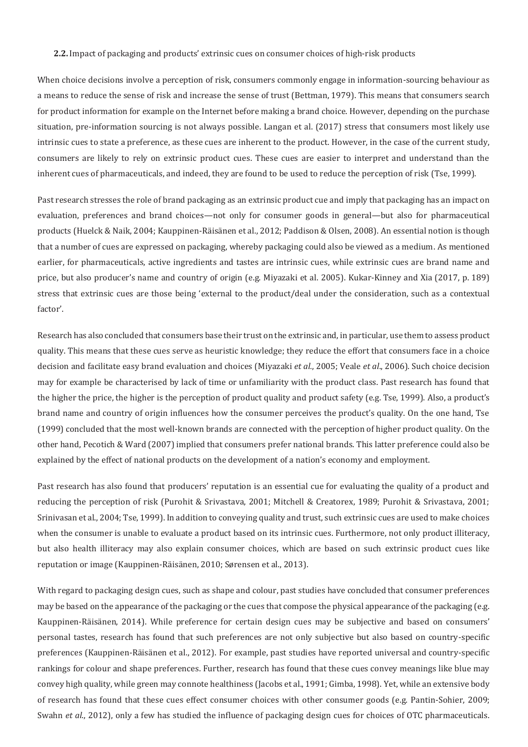#### 2.2. Impact of packaging and products' extrinsic cues on consumer choices of high-risk products

When choice decisions involve a perception of risk, consumers commonly engage in information-sourcing behaviour as a means to reduce the sense of risk and increase the sense of trust (Bettman, 1979). This means that consumers search for product information for example on the Internet before making a brand choice. However, depending on the purchase situation, pre-information sourcing is not always possible. Langan et al. (2017) stress that consumers most likely use intrinsic cues to state a preference, as these cues are inherent to the product. However, in the case of the current study, consumers are likely to rely on extrinsic product cues. These cues are easier to interpret and understand than the inherent cues of pharmaceuticals, and indeed, they are found to be used to reduce the perception of risk (Tse, 1999).

Past research stresses the role of brand packaging as an extrinsic product cue and imply that packaging has an impact on evaluation, preferences and brand choices—not only for consumer goods in general—but also for pharmaceutical products (Huelck & Naik, 2004; Kauppinen-Räisänen et al., 2012; Paddison & Olsen, 2008). An essential notion is though that a number of cues are expressed on packaging, whereby packaging could also be viewed as a medium. As mentioned earlier, for pharmaceuticals, active ingredients and tastes are intrinsic cues, while extrinsic cues are brand name and price, but also producer's name and country of origin (e.g. Miyazaki et al. 2005). Kukar-Kinney and Xia (2017, p. 189) stress that extrinsic cues are those being 'external to the product/deal under the consideration, such as a contextual factor'.

Research has also concluded that consumers base their trust on the extrinsic and, in particular, use them to assess product quality. This means that these cues serve as heuristic knowledge; they reduce the effort that consumers face in a choice decision and facilitate easy brand evaluation and choices (Miyazaki et al., 2005; Veale et al., 2006). Such choice decision may for example be characterised by lack of time or unfamiliarity with the product class. Past research has found that the higher the price, the higher is the perception of product quality and product safety (e.g. Tse, 1999). Also, a product's brand name and country of origin influences how the consumer perceives the product's quality. On the one hand, Tse (1999) concluded that the most well-known brands are connected with the perception of higher product quality. On the other hand, Pecotich & Ward (2007) implied that consumers prefer national brands. This latter preference could also be explained by the effect of national products on the development of a nation's economy and employment.

Past research has also found that producers' reputation is an essential cue for evaluating the quality of a product and reducing the perception of risk (Purohit & Srivastava, 2001; Mitchell & Creatorex, 1989; Purohit & Srivastava, 2001; Srinivasan et al., 2004; Tse, 1999). In addition to conveying quality and trust, such extrinsic cues are used to make choices when the consumer is unable to evaluate a product based on its intrinsic cues. Furthermore, not only product illiteracy, but also health illiteracy may also explain consumer choices, which are based on such extrinsic product cues like reputation or image (Kauppinen-Räisänen, 2010; Sørensen et al., 2013).

With regard to packaging design cues, such as shape and colour, past studies have concluded that consumer preferences may be based on the appearance of the packaging or the cues that compose the physical appearance of the packaging (e.g. Kauppinen-Räisänen, 2014). While preference for certain design cues may be subjective and based on consumers' personal tastes, research has found that such preferences are not only subjective but also based on country-specific preferences (Kauppinen-Räisänen et al., 2012). For example, past studies have reported universal and country-specific rankings for colour and shape preferences. Further, research has found that these cues convey meanings like blue may convey high quality, while green may connote healthiness (Jacobs et al., 1991; Gimba, 1998). Yet, while an extensive body of research has found that these cues effect consumer choices with other consumer goods (e.g. Pantin-Sohier, 2009; *Swahn et al.,* 2012), only a few has studied the influence of packaging design cues for choices of OTC pharmaceuticals.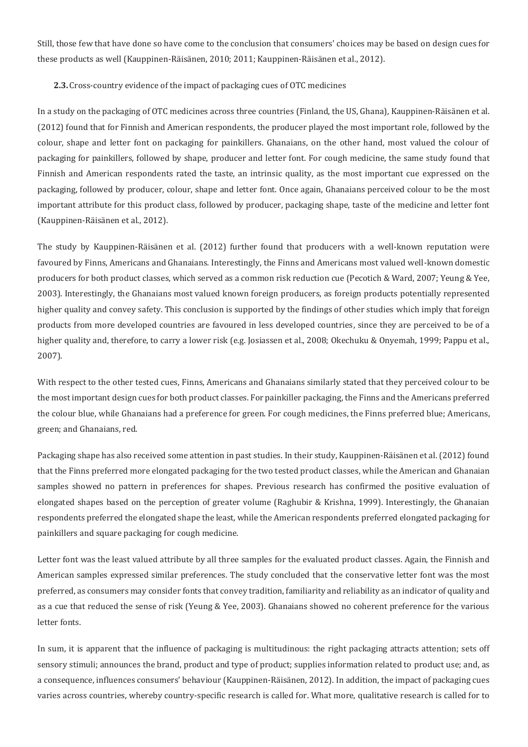Still, those few that have done so have come to the conclusion that consumers' choices may be based on design cues for these products as well (Kauppinen-Räisänen, 2010; 2011; Kauppinen-Räisänen et al., 2012).

#### 2.3. Cross-country evidence of the impact of packaging cues of OTC medicines

In a study on the packaging of OTC medicines across three countries (Finland, the US, Ghana), Kauppinen-Räisänen et al. (2012) found that for Finnish and American respondents, the producer played the most important role, followed by the colour, shape and letter font on packaging for painkillers. Ghanaians, on the other hand, most valued the colour of packaging for painkillers, followed by shape, producer and letter font. For cough medicine, the same study found that Finnish and American respondents rated the taste, an intrinsic quality, as the most important cue expressed on the packaging, followed by producer, colour, shape and letter font. Once again, Ghanaians perceived colour to be the most important attribute for this product class, followed by producer, packaging shape, taste of the medicine and letter font (Kauppinen-Räisänen et al., 2012).

The study by Kauppinen-Räisänen et al. (2012) further found that producers with a well-known reputation were favoured by Finns, Americans and Ghanaians. Interestingly, the Finns and Americans most valued well-known domestic producers for both product classes, which served as a common risk reduction cue (Pecotich & Ward, 2007; Yeung & Yee, 2003). Interestingly, the Ghanaians most valued known foreign producers, as foreign products potentially represented higher quality and convey safety. This conclusion is supported by the findings of other studies which imply that foreign products from more developed countries are favoured in less developed countries, since they are perceived to be of a higher quality and, therefore, to carry a lower risk (e.g. Josiassen et al., 2008; Okechuku & Onyemah, 1999; Pappu et al.,  $2007$ ).

With respect to the other tested cues, Finns, Americans and Ghanaians similarly stated that they perceived colour to be the most important design cues for both product classes. For painkiller packaging, the Finns and the Americans preferred the colour blue, while Ghanaians had a preference for green. For cough medicines, the Finns preferred blue; Americans, green; and Ghanaians, red.

Packaging shape has also received some attention in past studies. In their study, Kauppinen-Räisänen et al. (2012) found that the Finns preferred more elongated packaging for the two tested product classes, while the American and Ghanaian samples showed no pattern in preferences for shapes. Previous research has confirmed the positive evaluation of elongated shapes based on the perception of greater volume (Raghubir & Krishna, 1999). Interestingly, the Ghanaian respondents preferred the elongated shape the least, while the American respondents preferred elongated packaging for painkillers and square packaging for cough medicine.

Letter font was the least valued attribute by all three samples for the evaluated product classes. Again, the Finnish and American samples expressed similar preferences. The study concluded that the conservative letter font was the most preferred, as consumers may consider fonts that convey tradition, familiarity and reliability as an indicator of quality and as a cue that reduced the sense of risk (Yeung & Yee, 2003). Ghanaians showed no coherent preference for the various letter fonts.

In sum, it is apparent that the influence of packaging is multitudinous: the right packaging attracts attention; sets off sensory stimuli; announces the brand, product and type of product; supplies information related to product use; and, as a consequence, influences consumers' behaviour (Kauppinen-Räisänen, 2012). In addition, the impact of packaging cues varies across countries, whereby country-specific research is called for. What more, qualitative research is called for to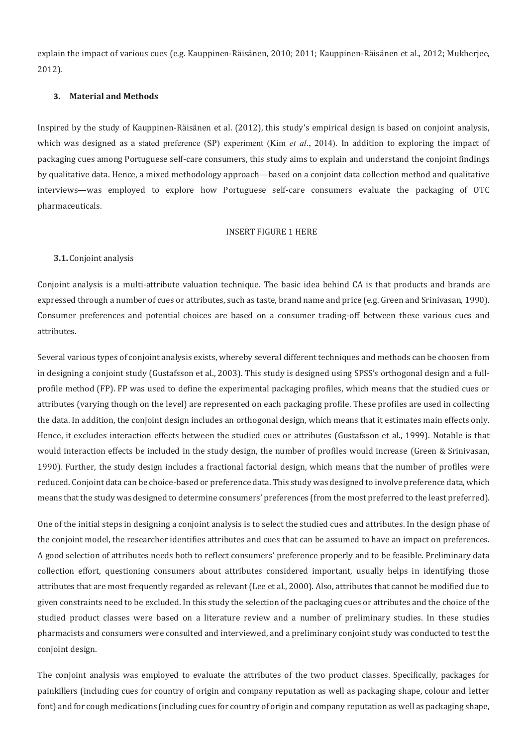explain the impact of various cues (e.g. Kauppinen-Räisänen, 2010; 2011; Kauppinen-Räisänen et al., 2012; Mukherjee,  $2012$ ).

#### **3. Material and Methods**

Inspired by the study of Kauppinen-Räisänen et al. (2012), this study's empirical design is based on conjoint analysis, which was designed as a stated preference (SP) experiment (Kim *et al.*, 2014). In addition to exploring the impact of packaging cues among Portuguese self-care consumers, this study aims to explain and understand the conjoint findings by qualitative data. Hence, a mixed methodology approach—based on a conjoint data collection method and qualitative interviews—was employed to explore how Portuguese self-care consumers evaluate the packaging of OTC pharmaceuticals.

#### **INSERT FIGURE 1 HERE**

#### **3.1.**

Conjoint analysis is a multi-attribute valuation technique. The basic idea behind CA is that products and brands are expressed through a number of cues or attributes, such as taste, brand name and price (e.g. Green and Srinivasan, 1990). Consumer preferences and potential choices are based on a consumer trading-off between these various cues and attributes.

Several various types of conjoint analysis exists, whereby several different techniques and methods can be choosen from in designing a conjoint study (Gustafsson et al., 2003). This study is designed using SPSS's orthogonal design and a fullprofile method (FP). FP was used to define the experimental packaging profiles, which means that the studied cues or attributes (varying though on the level) are represented on each packaging profile. These profiles are used in collecting the data. In addition, the conjoint design includes an orthogonal design, which means that it estimates main effects only. Hence, it excludes interaction effects between the studied cues or attributes (Gustafsson et al., 1999). Notable is that would interaction effects be included in the study design, the number of profiles would increase (Green & Srinivasan, 1990). Further, the study design includes a fractional factorial design, which means that the number of profiles were reduced. Conjoint data can be choice-based or preference data. This study was designed to involve preference data, which means that the study was designed to determine consumers' preferences (from the most preferred to the least preferred).

One of the initial steps in designing a conjoint analysis is to select the studied cues and attributes. In the design phase of the conjoint model, the researcher identifies attributes and cues that can be assumed to have an impact on preferences. A good selection of attributes needs both to reflect consumers' preference properly and to be feasible. Preliminary data collection effort, questioning consumers about attributes considered important, usually helps in identifying those attributes that are most frequently regarded as relevant (Lee et al., 2000). Also, attributes that cannot be modified due to given constraints need to be excluded. In this study the selection of the packaging cues or attributes and the choice of the studied product classes were based on a literature review and a number of preliminary studies. In these studies pharmacists and consumers were consulted and interviewed, and a preliminary conjoint study was conducted to test the conjoint design.

The conjoint analysis was employed to evaluate the attributes of the two product classes. Specifically, packages for painkillers (including cues for country of origin and company reputation as well as packaging shape, colour and letter font) and for cough medications (including cues for country of origin and company reputation as well as packaging shape,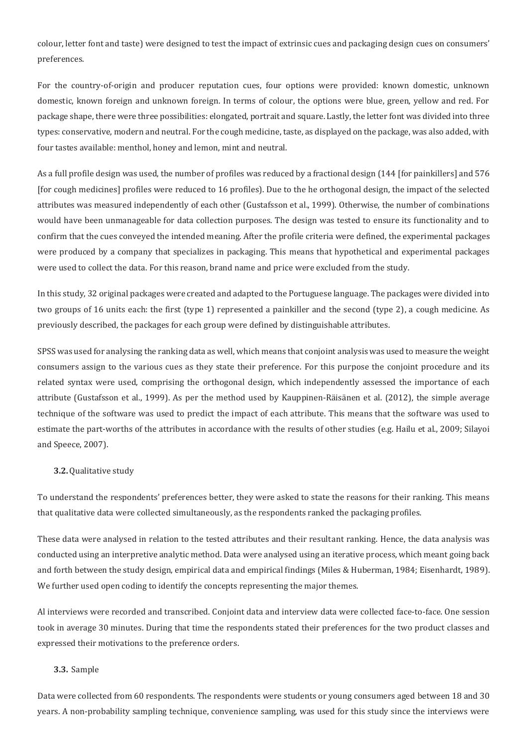colour, letter font and taste) were designed to test the impact of extrinsic cues and packaging design cues on consumers' preferences.

For the country-of-origin and producer reputation cues, four options were provided: known domestic, unknown domestic, known foreign and unknown foreign. In terms of colour, the options were blue, green, yellow and red. For package shape, there were three possibilities: elongated, portrait and square. Lastly, the letter font was divided into three types: conservative, modern and neutral. For the cough medicine, taste, as displayed on the package, was also added, with four tastes available: menthol, honey and lemon, mint and neutral.

As a full profile design was used, the number of profiles was reduced by a fractional design (144 [for painkillers] and 576 [for cough medicines] profiles were reduced to 16 profiles]. Due to the he orthogonal design, the impact of the selected attributes was measured independently of each other (Gustafsson et al., 1999). Otherwise, the number of combinations would have been unmanageable for data collection purposes. The design was tested to ensure its functionality and to confirm that the cues conveyed the intended meaning. After the profile criteria were defined, the experimental packages were produced by a company that specializes in packaging. This means that hypothetical and experimental packages were used to collect the data. For this reason, brand name and price were excluded from the study.

In this study, 32 original packages were created and adapted to the Portuguese language. The packages were divided into two groups of 16 units each: the first (type 1) represented a painkiller and the second (type 2), a cough medicine. As previously described, the packages for each group were defined by distinguishable attributes.

SPSS was used for analysing the ranking data as well, which means that conjoint analysis was used to measure the weight consumers assign to the various cues as they state their preference. For this purpose the conjoint procedure and its related syntax were used, comprising the orthogonal design, which independently assessed the importance of each attribute (Gustafsson et al., 1999). As per the method used by Kauppinen-Räisänen et al. (2012), the simple average technique of the software was used to predict the impact of each attribute. This means that the software was used to estimate the part-worths of the attributes in accordance with the results of other studies (e.g. Hailu et al., 2009; Silayoi and Speece, 2007).

#### **3.2.**

To understand the respondents' preferences better, they were asked to state the reasons for their ranking. This means that qualitative data were collected simultaneously, as the respondents ranked the packaging profiles.

These data were analysed in relation to the tested attributes and their resultant ranking. Hence, the data analysis was conducted using an interpretive analytic method. Data were analysed using an iterative process, which meant going back and forth between the study design, empirical data and empirical findings (Miles & Huberman, 1984; Eisenhardt, 1989). We further used open coding to identify the concepts representing the major themes.

Al interviews were recorded and transcribed. Conjoint data and interview data were collected face-to-face. One session took in average 30 minutes. During that time the respondents stated their preferences for the two product classes and expressed their motivations to the preference orders.

#### **3.3.**

Data were collected from 60 respondents. The respondents were students or young consumers aged between 18 and 30 years. A non-probability sampling technique, convenience sampling, was used for this study since the interviews were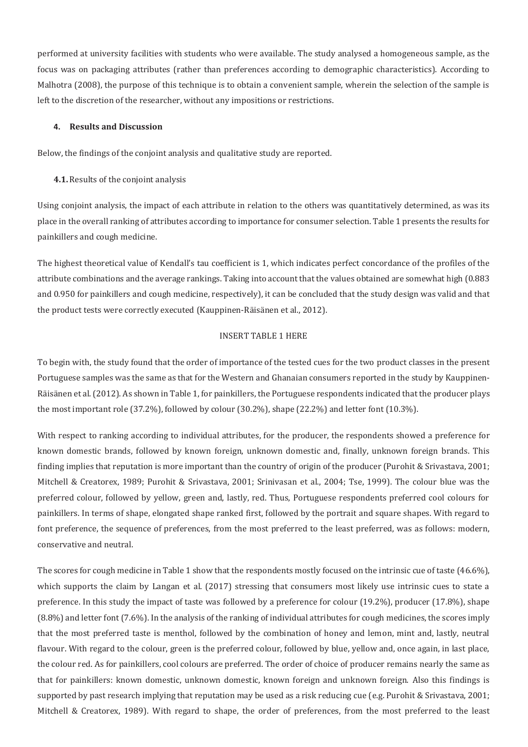performed at university facilities with students who were available. The study analysed a homogeneous sample, as the focus was on packaging attributes (rather than preferences according to demographic characteristics). According to Malhotra (2008), the purpose of this technique is to obtain a convenient sample, wherein the selection of the sample is left to the discretion of the researcher, without any impositions or restrictions.

#### **4. Results and Discussion**

Below, the findings of the conjoint analysis and qualitative study are reported.

**4.1.** Results of the conjoint analysis

Using conjoint analysis, the impact of each attribute in relation to the others was quantitatively determined, as was its place in the overall ranking of attributes according to importance for consumer selection. Table 1 presents the results for painkillers and cough medicine.

The highest theoretical value of Kendall's tau coefficient is 1, which indicates perfect concordance of the profiles of the attribute combinations and the average rankings. Taking into account that the values obtained are somewhat high (0.883) and 0.950 for painkillers and cough medicine, respectively), it can be concluded that the study design was valid and that the product tests were correctly executed (Kauppinen-Räisänen et al., 2012).

#### **INSERT TABLE 1 HERE**

To begin with, the study found that the order of importance of the tested cues for the two product classes in the present Portuguese samples was the same as that for the Western and Ghanaian consumers reported in the study by Kauppinen-Räisänen et al. (2012). As shown in Table 1, for painkillers, the Portuguese respondents indicated that the producer plays the most important role  $(37.2\%)$ , followed by colour  $(30.2\%)$ , shape  $(22.2\%)$  and letter font  $(10.3\%)$ .

With respect to ranking according to individual attributes, for the producer, the respondents showed a preference for known domestic brands, followed by known foreign, unknown domestic and, finally, unknown foreign brands. This finding implies that reputation is more important than the country of origin of the producer (Purohit & Srivastava, 2001; Mitchell & Creatorex, 1989; Purohit & Srivastava, 2001; Srinivasan et al., 2004; Tse, 1999). The colour blue was the preferred colour, followed by yellow, green and, lastly, red. Thus, Portuguese respondents preferred cool colours for painkillers. In terms of shape, elongated shape ranked first, followed by the portrait and square shapes. With regard to font preference, the sequence of preferences, from the most preferred to the least preferred, was as follows: modern, conservative and neutral.

The scores for cough medicine in Table 1 show that the respondents mostly focused on the intrinsic cue of taste (46.6%). which supports the claim by Langan et al. (2017) stressing that consumers most likely use intrinsic cues to state a preference. In this study the impact of taste was followed by a preference for colour (19.2%), producer (17.8%), shape (8.8%) and letter font (7.6%). In the analysis of the ranking of individual attributes for cough medicines, the scores imply that the most preferred taste is menthol, followed by the combination of honey and lemon, mint and, lastly, neutral flavour. With regard to the colour, green is the preferred colour, followed by blue, yellow and, once again, in last place, the colour red. As for painkillers, cool colours are preferred. The order of choice of producer remains nearly the same as that for painkillers: known domestic, unknown domestic, known foreign and unknown foreign. Also this findings is supported by past research implying that reputation may be used as a risk reducing cue (e.g. Purohit & Srivastava, 2001; Mitchell & Creatorex, 1989). With regard to shape, the order of preferences, from the most preferred to the least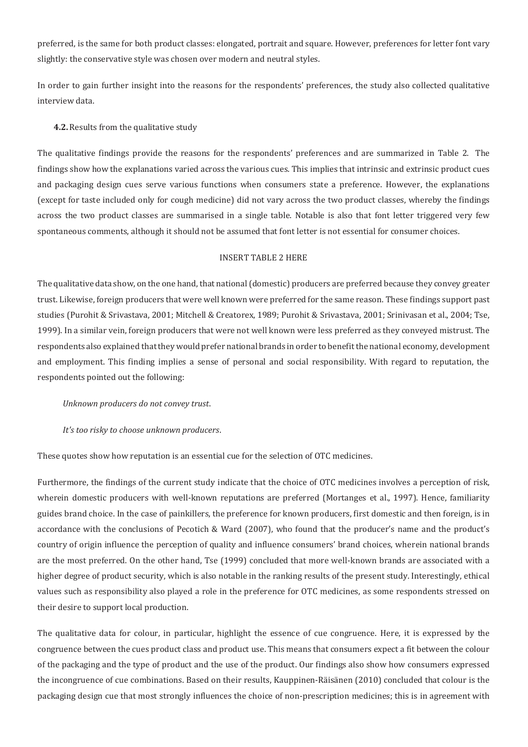preferred, is the same for both product classes: elongated, portrait and square. However, preferences for letter font vary slightly: the conservative style was chosen over modern and neutral styles.

In order to gain further insight into the reasons for the respondents' preferences, the study also collected qualitative interview data.

#### **4.2.** Results from the qualitative study

The qualitative findings provide the reasons for the respondents' preferences and are summarized in Table 2. The findings show how the explanations varied across the various cues. This implies that intrinsic and extrinsic product cues and packaging design cues serve various functions when consumers state a preference. However, the explanations (except for taste included only for cough medicine) did not vary across the two product classes, whereby the findings across the two product classes are summarised in a single table. Notable is also that font letter triggered very few spontaneous comments, although it should not be assumed that font letter is not essential for consumer choices.

#### **INSERT TABLE 2 HERE**

The qualitative data show, on the one hand, that national (domestic) producers are preferred because they convey greater trust. Likewise, foreign producers that were well known were preferred for the same reason. These findings support past studies (Purohit & Srivastava, 2001; Mitchell & Creatorex, 1989; Purohit & Srivastava, 2001; Srinivasan et al., 2004; Tse, 1999). In a similar vein, foreign producers that were not well known were less preferred as they conveyed mistrust. The respondents also explained that they would prefer national brands in order to benefit the national economy, development and employment. This finding implies a sense of personal and social responsibility. With regard to reputation, the respondents pointed out the following:

#### *Unknown producers do not convey trust.*

#### *It's too risky to choose unknown producers.*

These quotes show how reputation is an essential cue for the selection of OTC medicines.

Furthermore, the findings of the current study indicate that the choice of OTC medicines involves a perception of risk, wherein domestic producers with well-known reputations are preferred (Mortanges et al., 1997). Hence, familiarity guides brand choice. In the case of painkillers, the preference for known producers, first domestic and then foreign, is in accordance with the conclusions of Pecotich & Ward (2007), who found that the producer's name and the product's country of origin influence the perception of quality and influence consumers' brand choices, wherein national brands are the most preferred. On the other hand, Tse (1999) concluded that more well-known brands are associated with a higher degree of product security, which is also notable in the ranking results of the present study. Interestingly, ethical values such as responsibility also played a role in the preference for OTC medicines, as some respondents stressed on their desire to support local production.

The qualitative data for colour, in particular, highlight the essence of cue congruence. Here, it is expressed by the congruence between the cues product class and product use. This means that consumers expect a fit between the colour of the packaging and the type of product and the use of the product. Our findings also show how consumers expressed the incongruence of cue combinations. Based on their results, Kauppinen-Räisänen (2010) concluded that colour is the packaging design cue that most strongly influences the choice of non-prescription medicines; this is in agreement with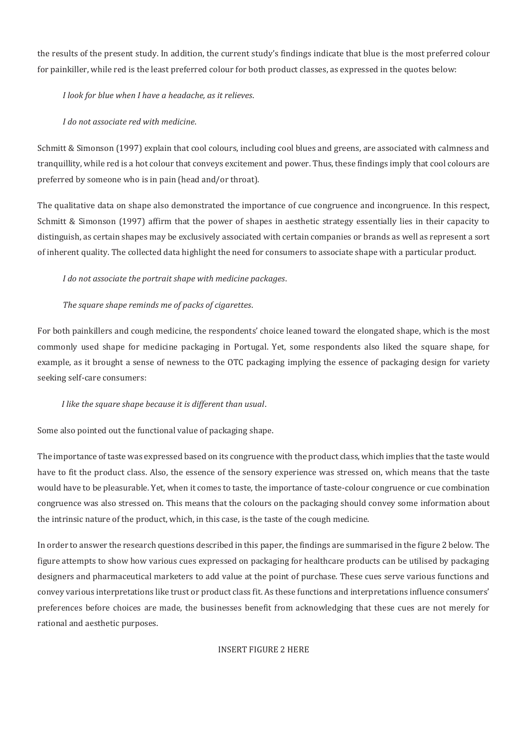the results of the present study. In addition, the current study's findings indicate that blue is the most preferred colour for painkiller, while red is the least preferred colour for both product classes, as expressed in the quotes below:

*I look for blue when I have a headache, as it relieves.* 

*I* do not associate red with medicine.

Schmitt & Simonson (1997) explain that cool colours, including cool blues and greens, are associated with calmness and tranguillity, while red is a hot colour that conveys excitement and power. Thus, these findings imply that cool colours are preferred by someone who is in pain (head and/or throat).

The qualitative data on shape also demonstrated the importance of cue congruence and incongruence. In this respect, Schmitt & Simonson (1997) affirm that the power of shapes in aesthetic strategy essentially lies in their capacity to distinguish, as certain shapes may be exclusively associated with certain companies or brands as well as represent a sort of inherent quality. The collected data highlight the need for consumers to associate shape with a particular product.

*I* do not associate the portrait shape with medicine packages.

### *The square shape reminds me of packs of cigarettes.*

For both painkillers and cough medicine, the respondents' choice leaned toward the elongated shape, which is the most commonly used shape for medicine packaging in Portugal. Yet, some respondents also liked the square shape, for example, as it brought a sense of newness to the OTC packaging implying the essence of packaging design for variety seeking self-care consumers:

#### *I like the square shape because it is different than usual.*

Some also pointed out the functional value of packaging shape.

The importance of taste was expressed based on its congruence with the product class, which implies that the taste would have to fit the product class. Also, the essence of the sensory experience was stressed on, which means that the taste would have to be pleasurable. Yet, when it comes to taste, the importance of taste-colour congruence or cue combination congruence was also stressed on. This means that the colours on the packaging should convey some information about the intrinsic nature of the product, which, in this case, is the taste of the cough medicine.

In order to answer the research questions described in this paper, the findings are summarised in the figure 2 below. The figure attempts to show how various cues expressed on packaging for healthcare products can be utilised by packaging designers and pharmaceutical marketers to add value at the point of purchase. These cues serve various functions and convey various interpretations like trust or product class fit. As these functions and interpretations influence consumers' preferences before choices are made, the businesses benefit from acknowledging that these cues are not merely for rational and aesthetic purposes.

**INSERT FIGURE 2 HERE**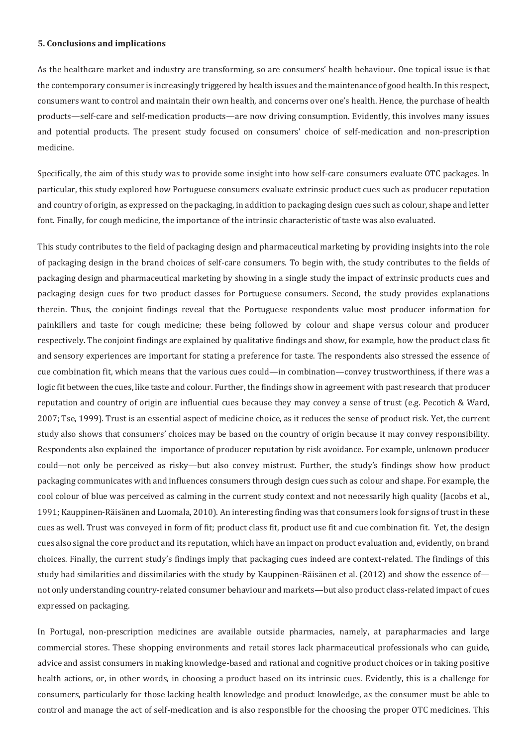#### **5. Conclusions and implications**

As the healthcare market and industry are transforming, so are consumers' health behaviour. One topical issue is that the contemporary consumer is increasingly triggered by health issues and the maintenance of good health. In this respect, consumers want to control and maintain their own health, and concerns over one's health. Hence, the purchase of health products—self-care and self-medication products—are now driving consumption. Evidently, this involves many issues and potential products. The present study focused on consumers' choice of self-medication and non-prescription medicine.

Specifically, the aim of this study was to provide some insight into how self-care consumers evaluate OTC packages. In particular, this study explored how Portuguese consumers evaluate extrinsic product cues such as producer reputation and country of origin, as expressed on the packaging, in addition to packaging design cues such as colour, shape and letter font. Finally, for cough medicine, the importance of the intrinsic characteristic of taste was also evaluated.

This study contributes to the field of packaging design and pharmaceutical marketing by providing insights into the role of packaging design in the brand choices of self-care consumers. To begin with, the study contributes to the fields of packaging design and pharmaceutical marketing by showing in a single study the impact of extrinsic products cues and packaging design cues for two product classes for Portuguese consumers. Second, the study provides explanations therein. Thus, the conjoint findings reveal that the Portuguese respondents value most producer information for painkillers and taste for cough medicine; these being followed by colour and shape versus colour and producer respectively. The conjoint findings are explained by qualitative findings and show, for example, how the product class fit and sensory experiences are important for stating a preference for taste. The respondents also stressed the essence of cue combination fit, which means that the various cues could—in combination—convey trustworthiness, if there was a logic fit between the cues, like taste and colour. Further, the findings show in agreement with past research that producer reputation and country of origin are influential cues because they may convey a sense of trust (e.g. Pecotich & Ward, 2007; Tse, 1999). Trust is an essential aspect of medicine choice, as it reduces the sense of product risk. Yet, the current study also shows that consumers' choices may be based on the country of origin because it may convey responsibility. Respondents also explained the importance of producer reputation by risk avoidance. For example, unknown producer could—not only be perceived as risky—but also convey mistrust. Further, the study's findings show how product packaging communicates with and influences consumers through design cues such as colour and shape. For example, the cool colour of blue was perceived as calming in the current study context and not necessarily high quality (Jacobs et al., 1991; Kauppinen-Räisänen and Luomala, 2010). An interesting finding was that consumers look for signs of trust in these cues as well. Trust was conveyed in form of fit; product class fit, product use fit and cue combination fit. Yet, the design cues also signal the core product and its reputation, which have an impact on product evaluation and, evidently, on brand choices. Finally, the current study's findings imply that packaging cues indeed are context-related. The findings of this study had similarities and dissimilaries with the study by Kauppinen-Räisänen et al. (2012) and show the essence of not only understanding country-related consumer behaviour and markets—but also product class-related impact of cues expressed on packaging.

In Portugal, non-prescription medicines are available outside pharmacies, namely, at parapharmacies and large commercial stores. These shopping environments and retail stores lack pharmaceutical professionals who can guide, advice and assist consumers in making knowledge-based and rational and cognitive product choices or in taking positive health actions, or, in other words, in choosing a product based on its intrinsic cues. Evidently, this is a challenge for consumers, particularly for those lacking health knowledge and product knowledge, as the consumer must be able to control and manage the act of self-medication and is also responsible for the choosing the proper OTC medicines. This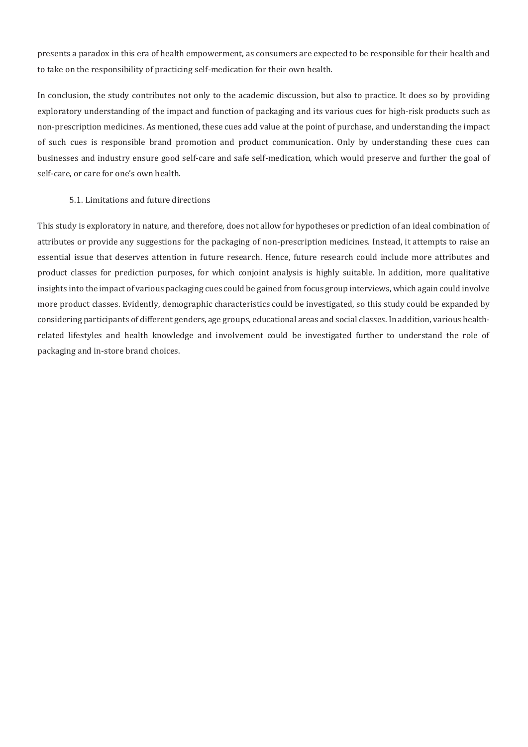presents a paradox in this era of health empowerment, as consumers are expected to be responsible for their health and to take on the responsibility of practicing self-medication for their own health.

In conclusion, the study contributes not only to the academic discussion, but also to practice. It does so by providing exploratory understanding of the impact and function of packaging and its various cues for high-risk products such as non-prescription medicines. As mentioned, these cues add value at the point of purchase, and understanding the impact of such cues is responsible brand promotion and product communication. Only by understanding these cues can businesses and industry ensure good self-care and safe self-medication, which would preserve and further the goal of self-care, or care for one's own health.

#### 5.1. Limitations and future directions

This study is exploratory in nature, and therefore, does not allow for hypotheses or prediction of an ideal combination of attributes or provide any suggestions for the packaging of non-prescription medicines. Instead, it attempts to raise an essential issue that deserves attention in future research. Hence, future research could include more attributes and product classes for prediction purposes, for which conjoint analysis is highly suitable. In addition, more qualitative insights into the impact of various packaging cues could be gained from focus group interviews, which again could involve more product classes. Evidently, demographic characteristics could be investigated, so this study could be expanded by considering participants of different genders, age groups, educational areas and social classes. In addition, various healthrelated lifestyles and health knowledge and involvement could be investigated further to understand the role of packaging and in-store brand choices.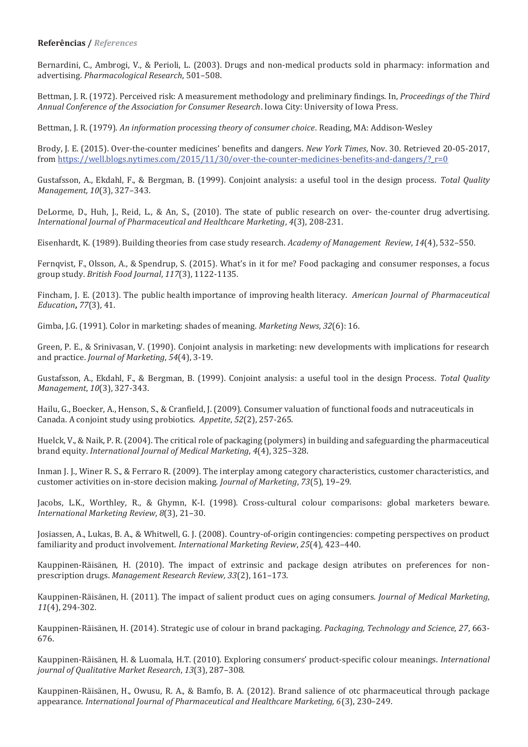#### **Referências /** *References*

Bernardini, C., Ambrogi, V., & Perioli, L. (2003). Drugs and non-medical products sold in pharmacy: information and advertising. Pharmacological Research, 501-508.

Bettman, J. R. (1972). Perceived risk: A measurement methodology and preliminary findings. In, *Proceedings of the Third* Annual Conference of the Association for Consumer Research, Iowa City: University of Iowa Press.

Bettman, J. R. (1979). An information processing theory of consumer choice. Reading, MA: Addison-Wesley

Brody, J. E. (2015). Over-the-counter medicines' benefits and dangers. New York Times, Nov. 30. Retrieved 20-05-2017, from https://well.blogs.nytimes.com/2015/11/30/over-the-counter-medicines-benefits-and-dangers/? r=0

Gustafsson, A., Ekdahl, F., & Bergman, B. (1999). Conjoint analysis: a useful tool in the design process. Total Quality *Management, 10*(3), 327-343.

DeLorme, D., Huh, J., Reid, L., & An, S., (2010). The state of public research on over- the-counter drug advertising. *International Journal of Pharmaceutical and Healthcare Marketing, 4*(3), 208-231.

Eisenhardt, K. (1989). Building theories from case study research. Academy of Management Review, 14(4), 532-550.

Fernqvist, F., Olsson, A., & Spendrup, S. (2015). What's in it for me? Food packaging and consumer responses, a focus group study. British Food Journal, 117(3), 1122-1135.

Fincham, J. E. (2013). The public health importance of improving health literacy. American Journal of Pharmaceutical  $Education$ , 77(3), 41.

Gimba, J.G. (1991). Color in marketing: shades of meaning. Marketing News, 32(6): 16.

Green, P. E., & Srinivasan, V. (1990). Conjoint analysis in marketing: new developments with implications for research and practice. *Journal of Marketing*, 54(4), 3-19.

Gustafsson, A., Ekdahl, F., & Bergman, B. (1999). Conjoint analysis: a useful tool in the design Process. Total Quality *Management, 10(3), 327-343.* 

Hailu, G., Boecker, A., Henson, S., & Cranfield, J. (2009). Consumer valuation of functional foods and nutraceuticals in Canada. A conjoint study using probiotics. Appetite, 52(2), 257-265.

Huelck, V., & Naik, P. R. (2004). The critical role of packaging (polymers) in building and safeguarding the pharmaceutical brand equity. *International Journal of Medical Marketing*, 4(4), 325-328.

Inman I. L. Winer R. S., & Ferraro R. (2009). The interplay among category characteristics, customer characteristics, and customer activities on in-store decision making. *Journal of Marketing*, 73(5), 19-29.

Jacobs, L.K., Worthley, R., & Ghymn, K-I. (1998). Cross-cultural colour comparisons: global marketers beware. *International Marketing Review, 8*(3), 21-30.

Josiassen, A., Lukas, B. A., & Whitwell, G. J. (2008). Country-of-origin contingencies: competing perspectives on product familiarity and product involvement. *International Marketing Review*, 25(4), 423-440.

Kauppinen-Räisänen, H. (2010). The impact of extrinsic and package design atributes on preferences for nonprescription drugs. Management Research Review, 33(2), 161-173.

Kauppinen-Räisänen, H. (2011). The impact of salient product cues on aging consumers. *Journal of Medical Marketing*, *11*(4), 294-302.

Kauppinen-Räisänen, H. (2014). Strategic use of colour in brand packaging, Packaging, Technology and Science, 27, 663-676.

Kauppinen-Räisänen, H. & Luomala, H.T. (2010). Exploring consumers' product-specific colour meanings. *International journal of Qualitative Market Research*, 13(3), 287-308.

Kauppinen-Räisänen, H., Owusu, R. A., & Bamfo, B. A. (2012). Brand salience of otc pharmaceutical through package appearance. International Journal of Pharmaceutical and Healthcare Marketing, 6(3), 230-249.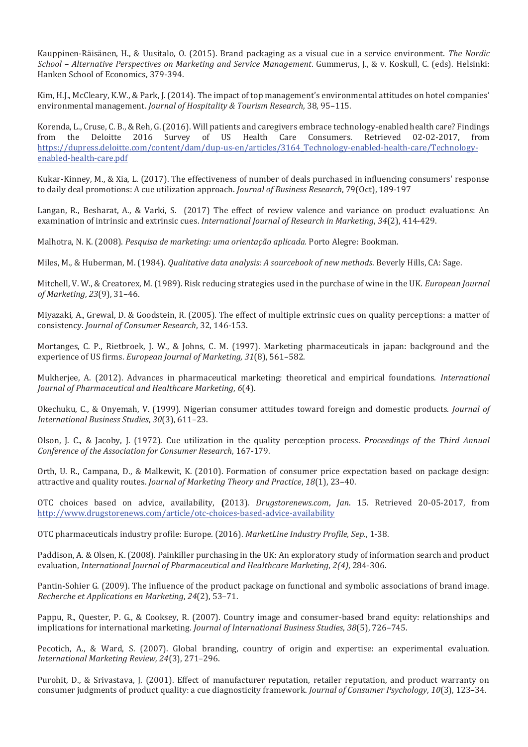Kauppinen-Räisänen, H., & Uusitalo, O. (2015). Brand packaging as a visual cue in a service environment. The Nordic School - Alternative Perspectives on Marketing and Service Management. Gummerus, J., & v. Koskull, C. (eds). Helsinki: Hanken School of Economics, 379-394.

Kim, H.J., McCleary, K.W., & Park, J. (2014). The impact of top management's environmental attitudes on hotel companies' *environmental management. Journal of Hospitality & Tourism Research***, 38, 95-115.** 

Korenda, L., Cruse, C. B., & Reh, G. (2016). Will patients and caregivers embrace technology-enabled health care? Findings from the Deloitte 2016 Survey of US Health Care Consumers. Retrieved 02-02-2017, from https://dupress.deloitte.com/content/dam/dup-us-en/articles/3164 Technology-enabled-health-care/Technologyenabled-health-care.pdf

Kukar-Kinney, M., & Xia, L. (2017). The effectiveness of number of deals purchased in influencing consumers' response to daily deal promotions: A cue utilization approach. *Journal of Business Research*, 79(Oct), 189-197

Langan, R., Besharat, A., & Varki, S. (2017) The effect of review valence and variance on product evaluations: An examination of intrinsic and extrinsic cues. *International Journal of Research in Marketing*, 34(2), 414-429.

Malhotra, N. K. (2008). Pesquisa de marketing: uma orientação aplicada. Porto Alegre: Bookman.

Miles, M., & Huberman, M. (1984). Qualitative data analysis: A sourcebook of new methods. Beverly Hills, CA: Sage.

Mitchell, V. W., & Creatorex, M. (1989). Risk reducing strategies used in the purchase of wine in the UK. *European Journal of Marketing*, 23(9), 31-46.

Miyazaki, A., Grewal, D. & Goodstein, R. (2005). The effect of multiple extrinsic cues on quality perceptions: a matter of *consistency. Journal of Consumer Research, 32, 146-153.* 

Mortanges, C. P., Rietbroek, J. W., & Johns, C. M. (1997). Marketing pharmaceuticals in japan: background and the experience of US firms. *European Journal of Marketing, 31*(8), 561-582.

Mukherjee, A. (2012). Advances in pharmaceutical marketing: theoretical and empirical foundations. *International Journal of Pharmaceutical and Healthcare Marketing*,  $6(4)$ .

Okechuku, C., & Onyemah, V. (1999). Nigerian consumer attitudes toward foreign and domestic products. Journal of *International Business Studies*, 30(3), 611-23.

Olson, J. C., & Jacoby, J. (1972). Cue utilization in the quality perception process. Proceedings of the Third Annual *Conference of the Association for Consumer Research*, 167-179.

Orth, U. R., Campana, D., & Malkewit, K. (2010). Formation of consumer price expectation based on package design: attractive and quality routes. Journal of Marketing Theory and Practice, 18(1), 23-40.

OTC choices based on advice, availability, (2013). *Drugstorenews.com*, *Jan.* 15. Retrieved 20-05-2017, from http://www.drugstorenews.com/article/otc-choices-based-advice-availability

ΟΤ Cpharmaceuticals industry profile: Europe. (2016). MarketLine Industry Profile, Sep., 1-38.

Paddison, A. & Olsen, K. (2008). Painkiller purchasing in the UK: An exploratory study of information search and product *evaluation, International Journal of Pharmaceutical and Healthcare Marketing, 2(4), 284-306.* 

Pantin-Sohier G. (2009). The influence of the product package on functional and symbolic associations of brand image. *Recherche et Applications en Marketing*, 24(2), 53-71.

Pappu, R., Quester, P. G., & Cooksey, R. (2007). Country image and consumer-based brand equity: relationships and *implications for international marketing. Journal of International Business Studies, 38(5), 726–745.* 

Pecotich, A., & Ward, S. (2007). Global branding, country of origin and expertise: an experimental evaluation. *International Marketing Review, 24*(3), 271-296.

Purohit, D., & Srivastava, J. (2001). Effect of manufacturer reputation, retailer reputation, and product warranty on consumer judgments of product quality: a cue diagnosticity framework. Journal of Consumer Psychology, 10(3), 123-34.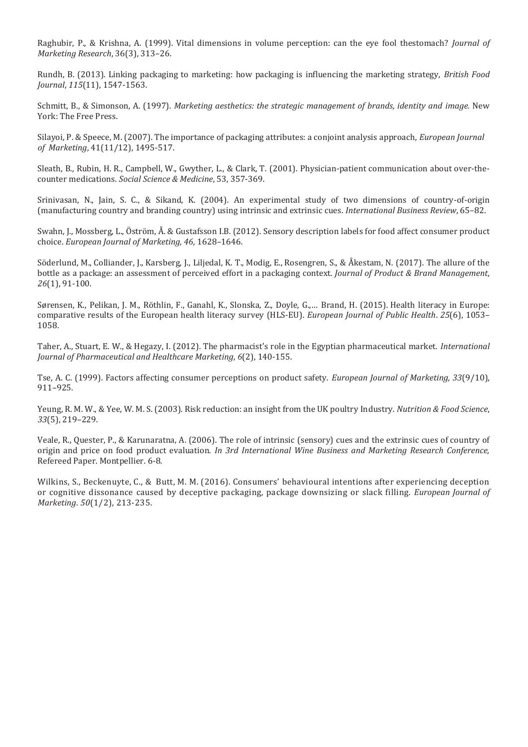Raghubir, P., & Krishna, A. (1999). Vital dimensions in volume perception: can the eye fool thestomach? Journal of *Marketing Research*, 36(3), 313-26.

Rundh, B. (2013). Linking packaging to marketing: how packaging is influencing the marketing strategy. *British Food Journal*, 115(11), 1547-1563.

Schmitt, B., & Simonson, A. (1997). Marketing aesthetics: the strategic management of brands, identity and image. New York: The Free Press.

Silayoi, P. & Speece, M. (2007). The importance of packaging attributes: a conjoint analysis approach, *European Journal of Marketing*, 41(11/12), 1495-517.

Sleath, B., Rubin, H. R., Campbell, W., Gwyther, L., & Clark, T. (2001). Physician-patient communication about over-thecounter medications. Social Science & Medicine, 53, 357-369.

Srinivasan, N., Jain, S. C., & Sikand, K. (2004). An experimental study of two dimensions of country-of-origin (manufacturing country and branding country) using intrinsic and extrinsic cues. *International Business Review*, 65–82.

Swahn, J., Mossberg, L., Öström, Å. & Gustafsson I.B. (2012). Sensory description labels for food affect consumer product choice. *European Journal of Marketing, 46,* 1628-1646.

Söderlund, M., Colliander, J., Karsberg, J., Liljedal, K. T., Modig, E., Rosengren, S., & Åkestam, N. (2017). The allure of the bottle as a package: an assessment of perceived effort in a packaging context. Journal of Product & Brand Management,  $26(1)$ , 91-100.

Sørensen, K., Pelikan, J. M., Röthlin, F., Ganahl, K., Slonska, Z., Doyle, G.,... Brand, H. (2015). Health literacy in Europe: comparative results of the European health literacy survey (HLS-EU). *European Journal of Public Health.* 25(6), 1053– 1058.

Taher, A., Stuart, E. W., & Hegazy, I. (2012). The pharmacist's role in the Egyptian pharmaceutical market. *International Journal of Pharmaceutical and Healthcare Marketing*,  $6(2)$ , 140-155.

Tse, A. C. (1999). Factors affecting consumer perceptions on product safety. *European Journal of Marketing, 33*(9/10),  $911 - 925.$ 

Yeung, R. M. W., & Yee, W. M. S. (2003). Risk reduction: an insight from the UK poultry Industry. *Nutrition & Food Science*, 33(5), 219-229.

Veale, R., Quester, P., & Karunaratna, A. (2006). The role of intrinsic (sensory) cues and the extrinsic cues of country of origin and price on food product evaluation. In 3rd International Wine Business and Marketing Research Conference, Refereed Paper. Montpellier. 6-8.

Wilkins, S., Beckenuyte, C., & Butt, M. M. (2016). Consumers' behavioural intentions after experiencing deception or cognitive dissonance caused by deceptive packaging, package downsizing or slack filling. *European Journal of Marketing*. 50(1/2), 213-235.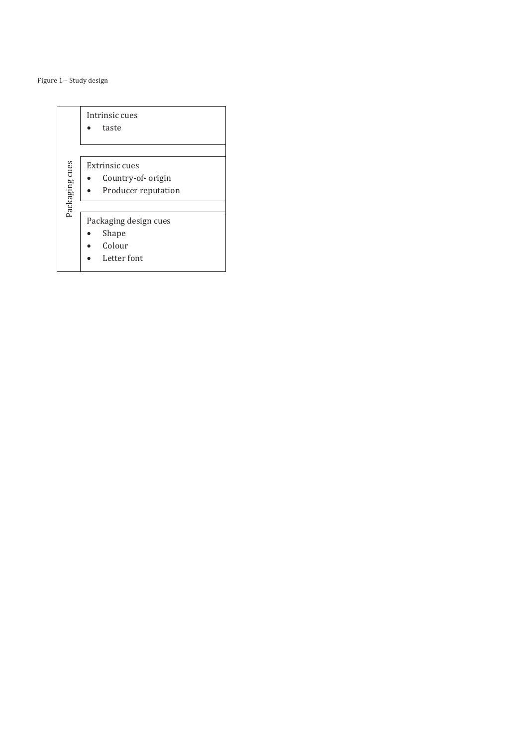Figure – Study design

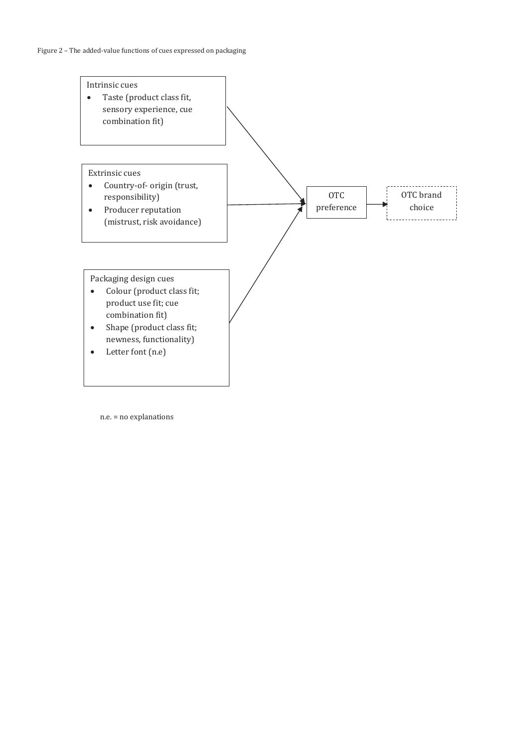

n.e. = no explanations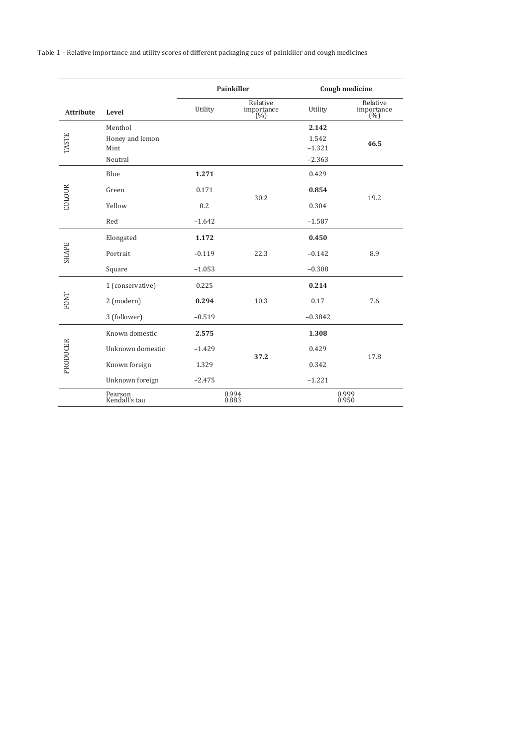Table 1 - Relative importance and utility scores of different packaging cues of painkiller and cough medicines

|                  |                          | <b>Painkiller</b> |                                       | Cough medicine |                               |
|------------------|--------------------------|-------------------|---------------------------------------|----------------|-------------------------------|
| <b>Attribute</b> | Level                    | Utility           | Relative<br>importance $\binom{0}{0}$ | Utility        | Relative<br>importance<br>(%) |
| <b>TASTE</b>     | Menthol                  |                   |                                       | 2.142          |                               |
|                  | Honey and lemon          |                   |                                       | 1.542          | 46.5                          |
|                  | Mint                     |                   |                                       | $-1.321$       |                               |
|                  | Neutral                  |                   |                                       | $-2.363$       |                               |
| COLOUR           | Blue                     | 1.271             | 30.2                                  | 0.429          | 19.2                          |
|                  | Green                    | 0.171             |                                       | 0.854          |                               |
|                  | Yellow                   | 0.2               |                                       | 0.304          |                               |
|                  | Red                      | $-1.642$          |                                       | $-1.587$       |                               |
| <b>SHAPE</b>     | Elongated                | 1.172             |                                       | 0.450          |                               |
|                  | Portrait                 | $-0.119$          | 22.3                                  | $-0.142$       | 8.9                           |
|                  | Square                   | $-1.053$          |                                       | $-0.308$       |                               |
| FONT             | 1 (conservative)         | 0.225             |                                       | 0.214          |                               |
|                  | 2 (modern)               | 0.294             | 10.3                                  | 0.17           | 7.6                           |
|                  | 3 (follower)             | $-0.519$          |                                       | $-0.3842$      |                               |
| PRODUCER         | Known domestic           | 2.575             |                                       | 1.308          |                               |
|                  | Unknown domestic         | $-1.429$          | 37.2                                  | 0.429          |                               |
|                  | Known foreign            | 1.329             |                                       | 0.342          | 17.8                          |
|                  | Unknown foreign          | $-2.475$          |                                       | $-1.221$       |                               |
|                  | Pearson<br>Kendall's tau | 0.994<br>0.883    |                                       | 0.999<br>0.950 |                               |